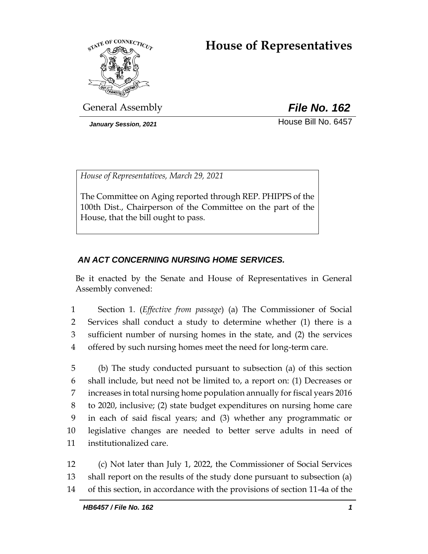# **House of Representatives**



General Assembly *File No. 162*

*January Session, 2021* **House Bill No. 6457** 

*House of Representatives, March 29, 2021*

The Committee on Aging reported through REP. PHIPPS of the 100th Dist., Chairperson of the Committee on the part of the House, that the bill ought to pass.

### *AN ACT CONCERNING NURSING HOME SERVICES.*

Be it enacted by the Senate and House of Representatives in General Assembly convened:

 Section 1. (*Effective from passage*) (a) The Commissioner of Social Services shall conduct a study to determine whether (1) there is a sufficient number of nursing homes in the state, and (2) the services offered by such nursing homes meet the need for long-term care.

 (b) The study conducted pursuant to subsection (a) of this section shall include, but need not be limited to, a report on: (1) Decreases or increases in total nursing home population annually for fiscal years 2016 to 2020, inclusive; (2) state budget expenditures on nursing home care in each of said fiscal years; and (3) whether any programmatic or legislative changes are needed to better serve adults in need of institutionalized care.

12 (c) Not later than July 1, 2022, the Commissioner of Social Services 13 shall report on the results of the study done pursuant to subsection (a) 14 of this section, in accordance with the provisions of section 11-4a of the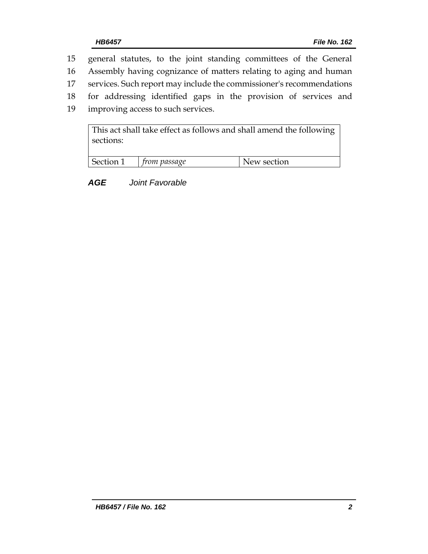| 15 | general statutes, to the joint standing committees of the General                |  |  |
|----|----------------------------------------------------------------------------------|--|--|
| 16 | Assembly having cognizance of matters relating to aging and human                |  |  |
| 17 | services. Such report may include the commissioner's recommendations             |  |  |
| 18 | for addressing identified gaps in the provision of services and                  |  |  |
| 19 | improving access to such services.                                               |  |  |
|    | This act shall take effect as follows and shall amend the following<br>sections: |  |  |

| l Section | trom passage | New section |
|-----------|--------------|-------------|

*AGE Joint Favorable*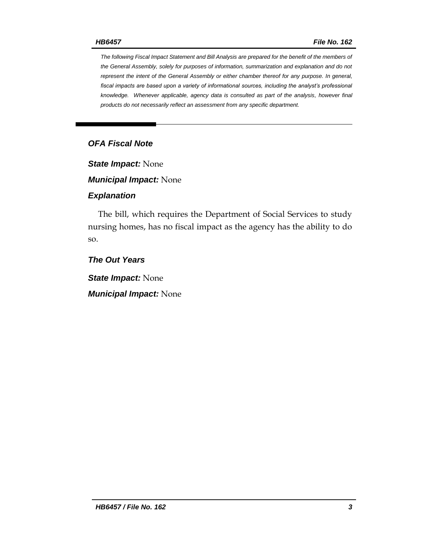*The following Fiscal Impact Statement and Bill Analysis are prepared for the benefit of the members of the General Assembly, solely for purposes of information, summarization and explanation and do not represent the intent of the General Assembly or either chamber thereof for any purpose. In general, fiscal impacts are based upon a variety of informational sources, including the analyst's professional knowledge. Whenever applicable, agency data is consulted as part of the analysis, however final products do not necessarily reflect an assessment from any specific department.*

### *OFA Fiscal Note*

*State Impact:* None

*Municipal Impact:* None

#### *Explanation*

The bill, which requires the Department of Social Services to study nursing homes, has no fiscal impact as the agency has the ability to do so.

*The Out Years*

*State Impact:* None

*Municipal Impact:* None